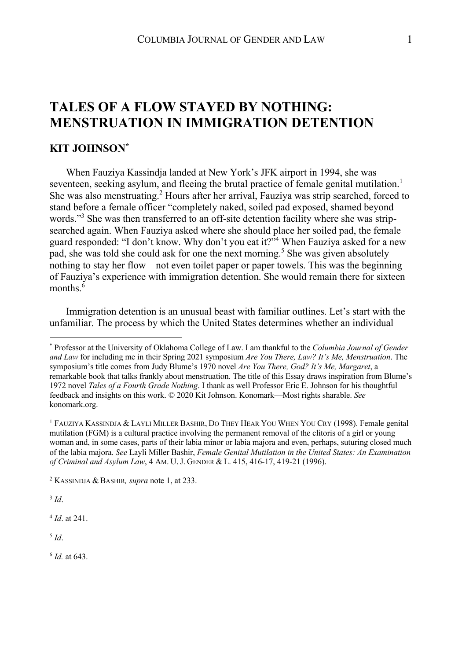## **TALES OF A FLOW STAYED BY NOTHING: MENSTRUATION IN IMMIGRATION DETENTION**

## **KIT JOHNSON\***

When Fauziya Kassindja landed at New York's JFK airport in 1994, she was seventeen, seeking asylum, and fleeing the brutal practice of female genital mutilation.<sup>1</sup> She was also menstruating.<sup>2</sup> Hours after her arrival, Fauziya was strip searched, forced to stand before a female officer "completely naked, soiled pad exposed, shamed beyond words."<sup>3</sup> She was then transferred to an off-site detention facility where she was stripsearched again. When Fauziya asked where she should place her soiled pad, the female guard responded: "I don't know. Why don't you eat it?"4 When Fauziya asked for a new pad, she was told she could ask for one the next morning. <sup>5</sup> She was given absolutely nothing to stay her flow—not even toilet paper or paper towels. This was the beginning of Fauziya's experience with immigration detention. She would remain there for sixteen months. $\delta$ 

Immigration detention is an unusual beast with familiar outlines. Let's start with the unfamiliar. The process by which the United States determines whether an individual

<sup>3</sup> *Id*.

<sup>4</sup> *Id*. at 241.

<sup>5</sup> *Id*.

<sup>6</sup> *Id.* at 643.

<sup>\*</sup> Professor at the University of Oklahoma College of Law. I am thankful to the *Columbia Journal of Gender and Law* for including me in their Spring 2021 symposium *Are You There, Law? It's Me, Menstruation*. The symposium's title comes from Judy Blume's 1970 novel *Are You There, God? It's Me, Margaret*, a remarkable book that talks frankly about menstruation. The title of this Essay draws inspiration from Blume's 1972 novel *Tales of a Fourth Grade Nothing*. I thank as well Professor Eric E. Johnson for his thoughtful feedback and insights on this work. © 2020 Kit Johnson. Konomark—Most rights sharable. *See* konomark.org.

<sup>1</sup> FAUZIYA KASSINDJA & LAYLI MILLER BASHIR, DO THEY HEAR YOU WHEN YOU CRY (1998). Female genital mutilation (FGM) is a cultural practice involving the permanent removal of the clitoris of a girl or young woman and, in some cases, parts of their labia minor or labia majora and even, perhaps, suturing closed much of the labia majora. *See* Layli Miller Bashir, *Female Genital Mutilation in the United States: An Examination of Criminal and Asylum Law*, 4 AM. U.J. GENDER & L. 415, 416-17, 419-21 (1996).

<sup>2</sup> KASSINDJA & BASHIR*, supra* note 1, at 233.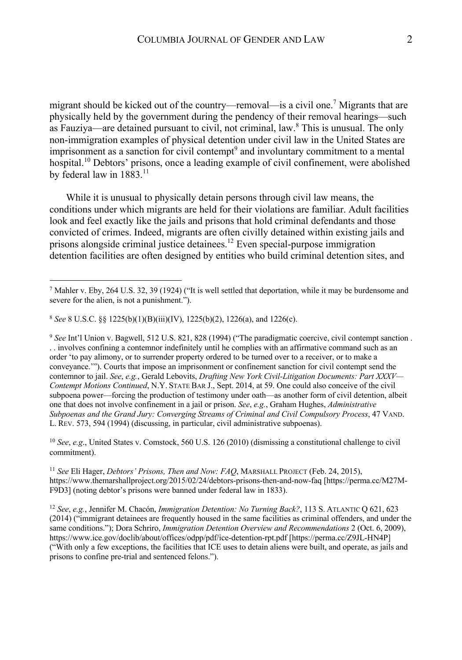migrant should be kicked out of the country—removal—is a civil one.<sup>7</sup> Migrants that are physically held by the government during the pendency of their removal hearings—such as Fauziya—are detained pursuant to civil, not criminal, law. $\delta$  This is unusual. The only non-immigration examples of physical detention under civil law in the United States are imprisonment as a sanction for civil contempt<sup>9</sup> and involuntary commitment to a mental hospital.<sup>10</sup> Debtors' prisons, once a leading example of civil confinement, were abolished by federal law in 1883.<sup>11</sup>

While it is unusual to physically detain persons through civil law means, the conditions under which migrants are held for their violations are familiar. Adult facilities look and feel exactly like the jails and prisons that hold criminal defendants and those convicted of crimes. Indeed, migrants are often civilly detained within existing jails and prisons alongside criminal justice detainees. <sup>12</sup> Even special-purpose immigration detention facilities are often designed by entities who build criminal detention sites, and

<sup>10</sup> *See*, *e.g*., United States v. Comstock, 560 U.S. 126 (2010) (dismissing a constitutional challenge to civil commitment).

<sup>12</sup> *See*, *e.g.*, Jennifer M. Chacón, *Immigration Detention: No Turning Back?*, 113 S. ATLANTIC Q 621, 623 (2014) ("immigrant detainees are frequently housed in the same facilities as criminal offenders, and under the same conditions."); Dora Schriro, *Immigration Detention Overview and Recommendations* 2 (Oct. 6, 2009), https://www.ice.gov/doclib/about/offices/odpp/pdf/ice-detention-rpt.pdf [https://perma.cc/Z9JL-HN4P] ("With only a few exceptions, the facilities that ICE uses to detain aliens were built, and operate, as jails and prisons to confine pre-trial and sentenced felons.").

 $^7$  Mahler v. Eby, 264 U.S. 32, 39 (1924) ("It is well settled that deportation, while it may be burdensome and severe for the alien, is not a punishment.").

<sup>8</sup> *See* 8 U.S.C. §§ 1225(b)(1)(B)(iii)(IV), 1225(b)(2), 1226(a), and 1226(c).

<sup>9</sup> *See* Int'l Union v. Bagwell, 512 U.S. 821, 828 (1994) ("The paradigmatic coercive, civil contempt sanction . . . involves confining a contemnor indefinitely until he complies with an affirmative command such as an order 'to pay alimony, or to surrender property ordered to be turned over to a receiver, or to make a conveyance.'"). Courts that impose an imprisonment or confinement sanction for civil contempt send the contemnor to jail. *See*, *e.g.*, Gerald Lebovits, *Drafting New York Civil-Litigation Documents: Part XXXV— Contempt Motions Continued*, N.Y. STATE BAR J., Sept. 2014, at 59. One could also conceive of the civil subpoena power—forcing the production of testimony under oath—as another form of civil detention, albeit one that does not involve confinement in a jail or prison. *See*, *e.g.*, Graham Hughes, *Administrative Subpoenas and the Grand Jury: Converging Streams of Criminal and Civil Compulsory Process*, 47 VAND. L. REV. 573, 594 (1994) (discussing, in particular, civil administrative subpoenas).

<sup>11</sup> *See* Eli Hager, *Debtors' Prisons, Then and Now: FAQ*, MARSHALL PROJECT (Feb. 24, 2015), https://www.themarshallproject.org/2015/02/24/debtors-prisons-then-and-now-faq [https://perma.cc/M27M-F9D3] (noting debtor's prisons were banned under federal law in 1833).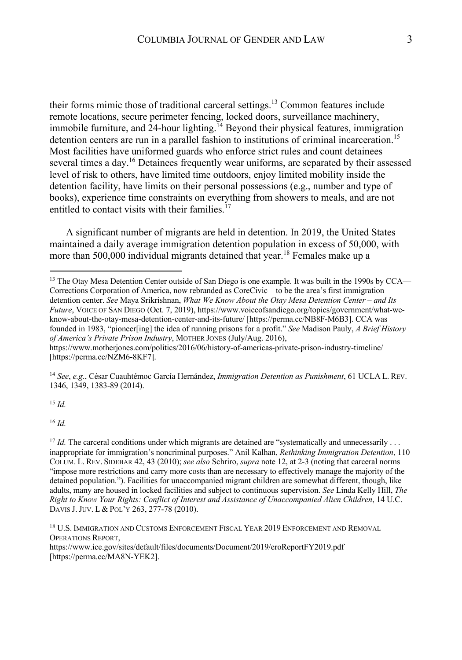their forms mimic those of traditional carceral settings.13 Common features include remote locations, secure perimeter fencing, locked doors, surveillance machinery, immobile furniture, and  $24$ -hour lighting.<sup>14</sup> Beyond their physical features, immigration detention centers are run in a parallel fashion to institutions of criminal incarceration.<sup>15</sup> Most facilities have uniformed guards who enforce strict rules and count detainees several times a day.<sup>16</sup> Detainees frequently wear uniforms, are separated by their assessed level of risk to others, have limited time outdoors, enjoy limited mobility inside the detention facility, have limits on their personal possessions (e.g., number and type of books), experience time constraints on everything from showers to meals, and are not entitled to contact visits with their families. $^{17}$ 

A significant number of migrants are held in detention. In 2019, the United States maintained a daily average immigration detention population in excess of 50,000, with more than 500,000 individual migrants detained that year.<sup>18</sup> Females make up a

<sup>14</sup> *See*, *e.g*., César Cuauhtémoc García Hernández, *Immigration Detention as Punishment*, 61 UCLA L. REV. 1346, 1349, 1383-89 (2014).

<sup>15</sup> *Id.*

<sup>16</sup> *Id.*

<sup>17</sup> *Id.* The carceral conditions under which migrants are detained are "systematically and unnecessarily ... inappropriate for immigration's noncriminal purposes." Anil Kalhan, *Rethinking Immigration Detention*, 110 COLUM. L. REV. SIDEBAR 42, 43 (2010); *see also* Schriro, *supra* note 12, at 2-3 (noting that carceral norms "impose more restrictions and carry more costs than are necessary to effectively manage the majority of the detained population."). Facilities for unaccompanied migrant children are somewhat different, though, like adults, many are housed in locked facilities and subject to continuous supervision. *See* Linda Kelly Hill, *The Right to Know Your Rights: Conflict of Interest and Assistance of Unaccompanied Alien Children*, 14 U.C. DAVIS J.JUV. L & POL'Y 263, 277-78 (2010).

<sup>18</sup> U.S. IMMIGRATION AND CUSTOMS ENFORCEMENT FISCAL YEAR 2019 ENFORCEMENT AND REMOVAL OPERATIONS REPORT,

https://www.ice.gov/sites/default/files/documents/Document/2019/eroReportFY2019.pdf [https://perma.cc/MA8N-YEK2].

<sup>&</sup>lt;sup>13</sup> The Otay Mesa Detention Center outside of San Diego is one example. It was built in the 1990s by CCA— Corrections Corporation of America, now rebranded as CoreCivic—to be the area's first immigration detention center. *See* Maya Srikrishnan, *What We Know About the Otay Mesa Detention Center – and Its Future*, VOICE OF SAN DIEGO (Oct. 7, 2019), https://www.voiceofsandiego.org/topics/government/what-weknow-about-the-otay-mesa-detention-center-and-its-future/ [https://perma.cc/NB8F-M6B3]. CCA was founded in 1983, "pioneer[ing] the idea of running prisons for a profit." *See* Madison Pauly, *A Brief History of America's Private Prison Industry*, MOTHER JONES (July/Aug. 2016),

https://www.motherjones.com/politics/2016/06/history-of-americas-private-prison-industry-timeline/ [https://perma.cc/NZM6-8KF7].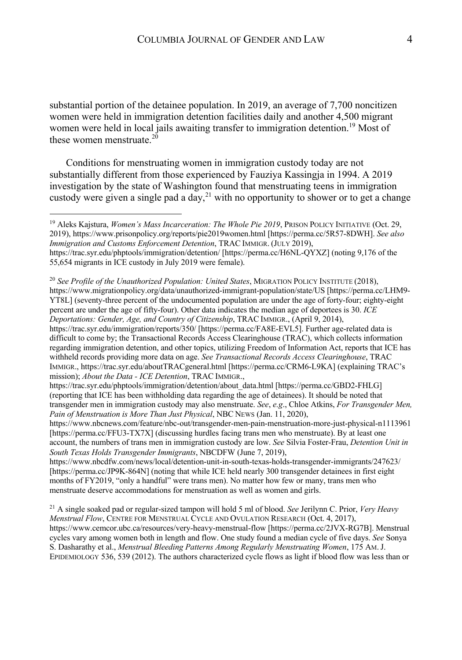substantial portion of the detainee population. In 2019, an average of 7,700 noncitizen women were held in immigration detention facilities daily and another 4,500 migrant women were held in local jails awaiting transfer to immigration detention.<sup>19</sup> Most of these women menstruate. $20^{\circ}$ 

Conditions for menstruating women in immigration custody today are not substantially different from those experienced by Fauziya Kassingja in 1994. A 2019 investigation by the state of Washington found that menstruating teens in immigration custody were given a single pad a day,<sup>21</sup> with no opportunity to shower or to get a change

<sup>19</sup> Aleks Kajstura, *Women's Mass Incarceration: The Whole Pie 2019*, PRISON POLICY INITIATIVE (Oct. 29, 2019), https://www.prisonpolicy.org/reports/pie2019women.html [https://perma.cc/5R57-8DWH]. *See also Immigration and Customs Enforcement Detention*, TRAC IMMIGR. (JULY 2019), https://trac.syr.edu/phptools/immigration/detention/ [https://perma.cc/H6NL-QYXZ] (noting 9,176 of the 55,654 migrants in ICE custody in July 2019 were female).

<sup>20</sup> *See Profile of the Unauthorized Population: United States*, MIGRATION POLICY INSTITUTE (2018), https://www.migrationpolicy.org/data/unauthorized-immigrant-population/state/US [https://perma.cc/LHM9- YT8L] (seventy-three percent of the undocumented population are under the age of forty-four; eighty-eight percent are under the age of fifty-four). Other data indicates the median age of deportees is 30. *ICE Deportations: Gender, Age, and Country of Citizenship*, TRAC IMMIGR., (April 9, 2014), https://trac.syr.edu/immigration/reports/350/ [https://perma.cc/FA8E-EVL5]. Further age-related data is difficult to come by; the Transactional Records Access Clearinghouse (TRAC), which collects information regarding immigration detention, and other topics, utilizing Freedom of Information Act, reports that ICE has withheld records providing more data on age. *See Transactional Records Access Clearinghouse*, TRAC IMMIGR., https://trac.syr.edu/aboutTRACgeneral.html [https://perma.cc/CRM6-L9KA] (explaining TRAC's mission); *About the Data - ICE Detention*, TRAC IMMIGR.,

https://trac.syr.edu/phptools/immigration/detention/about\_data.html [https://perma.cc/GBD2-FHLG] (reporting that ICE has been withholding data regarding the age of detainees). It should be noted that transgender men in immigration custody may also menstruate. *See*, *e.g*., Chloe Atkins, *For Transgender Men, Pain of Menstruation is More Than Just Physical*, NBC NEWS (Jan. 11, 2020),

https://www.nbcnews.com/feature/nbc-out/transgender-men-pain-menstruation-more-just-physical-n1113961 [https://perma.cc/FFU3-TX7X] (discussing hurdles facing trans men who menstruate). By at least one account, the numbers of trans men in immigration custody are low. *See* Silvia Foster-Frau, *Detention Unit in South Texas Holds Transgender Immigrants*, NBCDFW (June 7, 2019),

https://www.nbcdfw.com/news/local/detention-unit-in-south-texas-holds-transgender-immigrants/247623/ [https://perma.cc/JP9K-864N] (noting that while ICE held nearly 300 transgender detainees in first eight months of FY2019, "only a handful" were trans men). No matter how few or many, trans men who menstruate deserve accommodations for menstruation as well as women and girls.

<sup>21</sup> A single soaked pad or regular-sized tampon will hold 5 ml of blood. *See* Jerilynn C. Prior, *Very Heavy Menstrual Flow*, CENTRE FOR MENSTRUAL CYCLE AND OVULATION RESEARCH (Oct. 4, 2017), https://www.cemcor.ubc.ca/resources/very-heavy-menstrual-flow [https://perma.cc/2JVX-RG7B]. Menstrual cycles vary among women both in length and flow. One study found a median cycle of five days. *See* Sonya S. Dasharathy et al., *Menstrual Bleeding Patterns Among Regularly Menstruating Women*, 175 AM.J. EPIDEMIOLOGY 536, 539 (2012). The authors characterized cycle flows as light if blood flow was less than or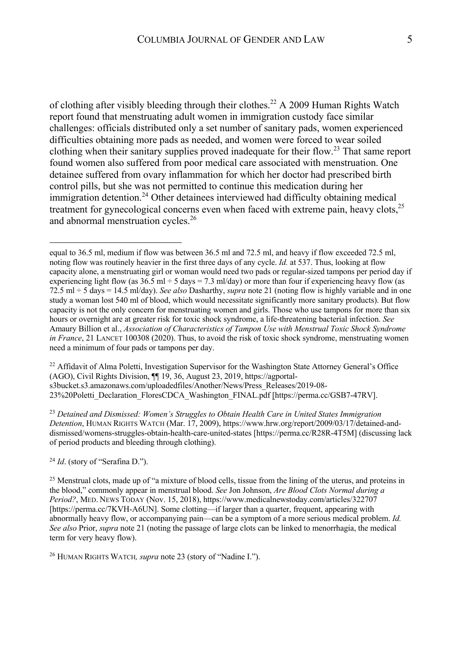of clothing after visibly bleeding through their clothes.<sup>22</sup> A 2009 Human Rights Watch report found that menstruating adult women in immigration custody face similar challenges: officials distributed only a set number of sanitary pads, women experienced difficulties obtaining more pads as needed, and women were forced to wear soiled clothing when their sanitary supplies proved inadequate for their flow.<sup>23</sup> That same report found women also suffered from poor medical care associated with menstruation. One detainee suffered from ovary inflammation for which her doctor had prescribed birth control pills, but she was not permitted to continue this medication during her immigration detention.<sup>24</sup> Other detainees interviewed had difficulty obtaining medical treatment for gynecological concerns even when faced with extreme pain, heavy clots,<sup>25</sup> and abnormal menstruation cycles.26

 $^{22}$  Affidavit of Alma Poletti, Investigation Supervisor for the Washington State Attorney General's Office (AGO), Civil Rights Division, ¶¶ 19, 36, August 23, 2019, https://agportals3bucket.s3.amazonaws.com/uploadedfiles/Another/News/Press\_Releases/2019-08- 23%20Poletti\_Declaration\_FloresCDCA\_Washington\_FINAL.pdf [https://perma.cc/GSB7-47RV].

<sup>23</sup> *Detained and Dismissed: Women's Struggles to Obtain Health Care in United States Immigration Detention*, HUMAN RIGHTS WATCH (Mar. 17, 2009), https://www.hrw.org/report/2009/03/17/detained-anddismissed/womens-struggles-obtain-health-care-united-states [https://perma.cc/R28R-4T5M] (discussing lack of period products and bleeding through clothing).

<sup>24</sup> *Id.* (story of "Serafina D.").

 $25$  Menstrual clots, made up of "a mixture of blood cells, tissue from the lining of the uterus, and proteins in the blood," commonly appear in menstrual blood. *See* Jon Johnson, *Are Blood Clots Normal during a Period?*, MED. NEWS TODAY (Nov. 15, 2018), https://www.medicalnewstoday.com/articles/322707 [https://perma.cc/7KVH-A6UN]. Some clotting—if larger than a quarter, frequent, appearing with abnormally heavy flow, or accompanying pain—can be a symptom of a more serious medical problem. *Id. See also* Prior, *supra* note 21 (noting the passage of large clots can be linked to menorrhagia, the medical term for very heavy flow).

<sup>26</sup> HUMAN RIGHTS WATCH*, supra* note 23 (story of "Nadine I.").

equal to 36.5 ml, medium if flow was between 36.5 ml and 72.5 ml, and heavy if flow exceeded 72.5 ml, noting flow was routinely heavier in the first three days of any cycle. *Id.* at 537. Thus, looking at flow capacity alone, a menstruating girl or woman would need two pads or regular-sized tampons per period day if experiencing light flow (as  $36.5$  ml  $\div$  5 days = 7.3 ml/day) or more than four if experiencing heavy flow (as 72.5 ml ÷ 5 days = 14.5 ml/day). *See also* Dasharthy, *supra* note 21 (noting flow is highly variable and in one study a woman lost 540 ml of blood, which would necessitate significantly more sanitary products). But flow capacity is not the only concern for menstruating women and girls. Those who use tampons for more than six hours or overnight are at greater risk for toxic shock syndrome, a life-threatening bacterial infection. *See* Amaury Billion et al., *Association of Characteristics of Tampon Use with Menstrual Toxic Shock Syndrome in France*, 21 LANCET 100308 (2020). Thus, to avoid the risk of toxic shock syndrome, menstruating women need a minimum of four pads or tampons per day.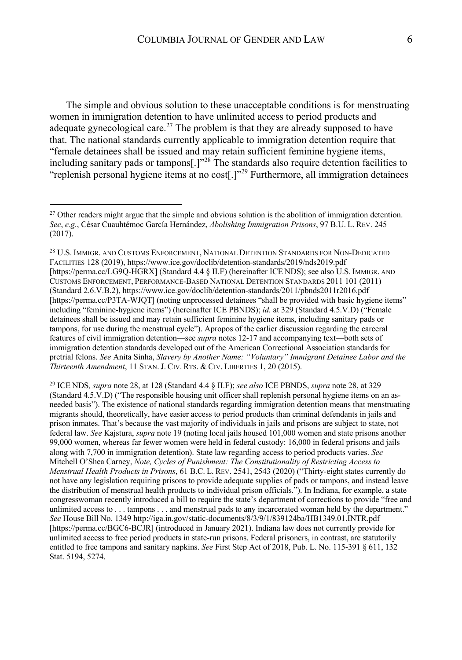The simple and obvious solution to these unacceptable conditions is for menstruating women in immigration detention to have unlimited access to period products and adequate gynecological care.<sup>27</sup> The problem is that they are already supposed to have that. The national standards currently applicable to immigration detention require that "female detainees shall be issued and may retain sufficient feminine hygiene items, including sanitary pads or tampons[.] $1^{328}$  The standards also require detention facilities to "replenish personal hygiene items at no cost[.]"<sup>29</sup> Furthermore, all immigration detainees

<sup>28</sup> U.S. IMMIGR. AND CUSTOMS ENFORCEMENT, NATIONAL DETENTION STANDARDS FOR NON-DEDICATED FACILITIES 128 (2019), https://www.ice.gov/doclib/detention-standards/2019/nds2019.pdf [https://perma.cc/LG9Q-HGRX] (Standard 4.4 § II.F) (hereinafter ICE NDS); see also U.S. IMMIGR. AND CUSTOMS ENFORCEMENT, PERFORMANCE-BASED NATIONAL DETENTION STANDARDS 2011 101 (2011) (Standard 2.6.V.B.2), https://www.ice.gov/doclib/detention-standards/2011/pbnds2011r2016.pdf [https://perma.cc/P3TA-WJQT] (noting unprocessed detainees "shall be provided with basic hygiene items" including "feminine-hygiene items") (hereinafter ICE PBNDS); *id.* at 329 (Standard 4.5.V.D) ("Female detainees shall be issued and may retain sufficient feminine hygiene items, including sanitary pads or tampons, for use during the menstrual cycle"). Apropos of the earlier discussion regarding the carceral features of civil immigration detention—see *supra* notes 12-17 and accompanying text—both sets of immigration detention standards developed out of the American Correctional Association standards for pretrial felons. *See* Anita Sinha, *Slavery by Another Name: "Voluntary" Immigrant Detainee Labor and the Thirteenth Amendment*, 11 STAN.J. CIV. RTS. & CIV. LIBERTIES 1, 20 (2015).

<sup>29</sup> ICE NDS*, supra* note 28, at 128 (Standard 4.4 § II.F); *see also* ICE PBNDS, *supra* note 28, at 329 (Standard 4.5.V.D) ("The responsible housing unit officer shall replenish personal hygiene items on an asneeded basis"). The existence of national standards regarding immigration detention means that menstruating migrants should, theoretically, have easier access to period products than criminal defendants in jails and prison inmates. That's because the vast majority of individuals in jails and prisons are subject to state, not federal law. *See* Kajstura, *supra* note 19 (noting local jails housed 101,000 women and state prisons another 99,000 women, whereas far fewer women were held in federal custody: 16,000 in federal prisons and jails along with 7,700 in immigration detention). State law regarding access to period products varies. *See*  Mitchell O'Shea Carney, *Note, Cycles of Punishment: The Constitutionality of Restricting Access to Menstrual Health Products in Prisons*, 61 B.C. L. REV. 2541, 2543 (2020) ("Thirty-eight states currently do not have any legislation requiring prisons to provide adequate supplies of pads or tampons, and instead leave the distribution of menstrual health products to individual prison officials."). In Indiana, for example, a state congresswoman recently introduced a bill to require the state's department of corrections to provide "free and unlimited access to . . . tampons . . . and menstrual pads to any incarcerated woman held by the department." *See* House Bill No. 1349 http://iga.in.gov/static-documents/8/3/9/1/839124ba/HB1349.01.INTR.pdf [https://perma.cc/BGC6-BCJR] (introduced in January 2021). Indiana law does not currently provide for unlimited access to free period products in state-run prisons. Federal prisoners, in contrast, are statutorily entitled to free tampons and sanitary napkins. *See* First Step Act of 2018, Pub. L. No. 115-391 § 611, 132 Stat. 5194, 5274.

<sup>&</sup>lt;sup>27</sup> Other readers might argue that the simple and obvious solution is the abolition of immigration detention. *See*, *e.g.*, César Cuauhtémoc García Hernández, *Abolishing Immigration Prisons*, 97 B.U. L. REV. 245 (2017).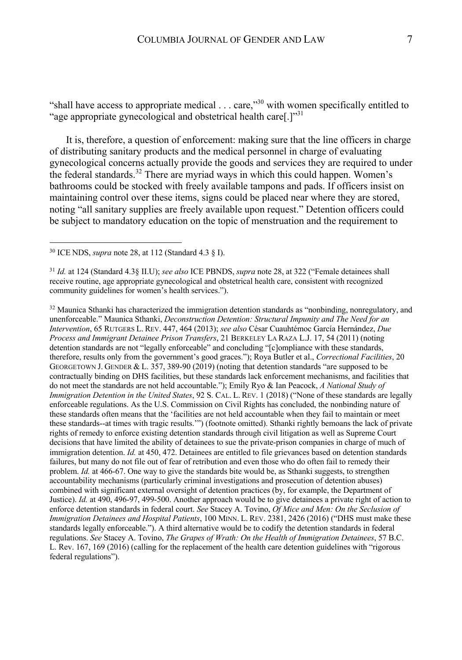"shall have access to appropriate medical . . . care,"<sup>30</sup> with women specifically entitled to "age appropriate gynecological and obstetrical health care[.]"31

It is, therefore, a question of enforcement: making sure that the line officers in charge of distributing sanitary products and the medical personnel in charge of evaluating gynecological concerns actually provide the goods and services they are required to under the federal standards.<sup>32</sup> There are myriad ways in which this could happen. Women's bathrooms could be stocked with freely available tampons and pads. If officers insist on maintaining control over these items, signs could be placed near where they are stored, noting "all sanitary supplies are freely available upon request." Detention officers could be subject to mandatory education on the topic of menstruation and the requirement to

<sup>30</sup> ICE NDS, *supra* note 28, at 112 (Standard 4.3 § I).

<sup>31</sup> *Id.* at 124 (Standard 4.3§ II.U); *see also* ICE PBNDS, *supra* note 28, at 322 ("Female detainees shall receive routine, age appropriate gynecological and obstetrical health care, consistent with recognized community guidelines for women's health services.").

 $32$  Maunica Sthanki has characterized the immigration detention standards as "nonbinding, nonregulatory, and unenforceable." Maunica Sthanki, *Deconstruction Detention: Structural Impunity and The Need for an Intervention*, 65 RUTGERS L. REV. 447, 464 (2013); *see also* César Cuauhtémoc García Hernández, *Due Process and Immigrant Detainee Prison Transfers*, 21 BERKELEY LA RAZA L.J. 17, 54 (2011) (noting detention standards are not "legally enforceable" and concluding "[c]ompliance with these standards, therefore, results only from the government's good graces."); Roya Butler et al., *Correctional Facilities*, 20 GEORGETOWN J. GENDER & L. 357, 389-90 (2019) (noting that detention standards "are supposed to be contractually binding on DHS facilities, but these standards lack enforcement mechanisms, and facilities that do not meet the standards are not held accountable."); Emily Ryo & Ian Peacock, *A National Study of Immigration Detention in the United States*, 92 S. CAL. L. REV. 1 (2018) ("None of these standards are legally enforceable regulations. As the U.S. Commission on Civil Rights has concluded, the nonbinding nature of these standards often means that the 'facilities are not held accountable when they fail to maintain or meet these standards--at times with tragic results.'") (footnote omitted). Sthanki rightly bemoans the lack of private rights of remedy to enforce existing detention standards through civil litigation as well as Supreme Court decisions that have limited the ability of detainees to sue the private-prison companies in charge of much of immigration detention. *Id.* at 450, 472. Detainees are entitled to file grievances based on detention standards failures, but many do not file out of fear of retribution and even those who do often fail to remedy their problem. *Id.* at 466-67. One way to give the standards bite would be, as Sthanki suggests, to strengthen accountability mechanisms (particularly criminal investigations and prosecution of detention abuses) combined with significant external oversight of detention practices (by, for example, the Department of Justice). *Id.* at 490, 496-97, 499-500. Another approach would be to give detainees a private right of action to enforce detention standards in federal court. *See* Stacey A. Tovino, *Of Mice and Men: On the Seclusion of Immigration Detainees and Hospital Patients*, 100 MINN. L. REV. 2381, 2426 (2016) ("DHS must make these standards legally enforceable."). A third alternative would be to codify the detention standards in federal regulations. *See* Stacey A. Tovino, *The Grapes of Wrath: On the Health of Immigration Detainees*, 57 B.C. L. Rev. 167, 169 (2016) (calling for the replacement of the health care detention guidelines with "rigorous federal regulations").